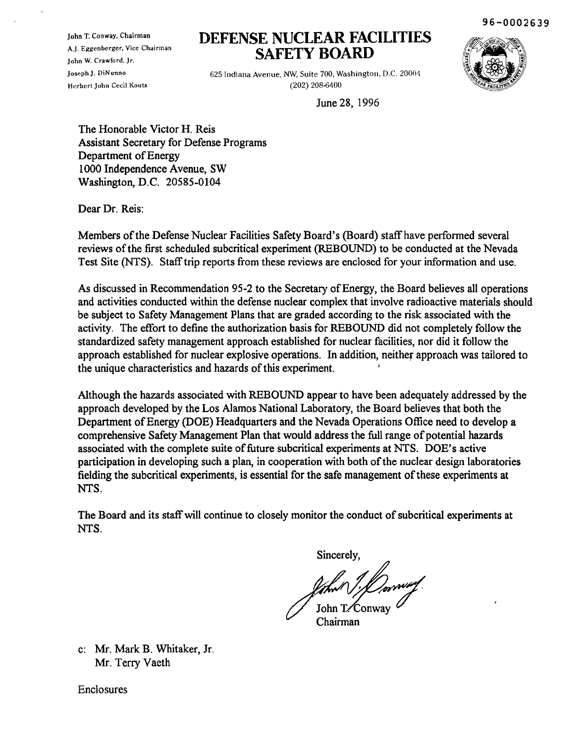96-0002639

John T. Conway. Chairman A,J. Eggenberger, Vice Chairman John W. Crawford, Jr. Joseph J. DiNunno Herbert John Cecil Kouts

# **DEFENSE NUCLEAR FACILITIES SAFETY BOARD**

625 Indiana Avenue, NW, Suite 700, Washington, D.C. 20004 (202) 208-6400



June 28, 1996

The Honorable Victor H. Reis Assistant Secretary for Defense Programs Department of Energy 1000 Independence Avenue, SW Washington, D.C. 20585-0104

Dear Dr. Reis:

Members of the Defense Nuclear Facilities Safety Board's (Board) staff have performed several reviews ofthe first scheduled subcritical experiment (REBOUND) to be conducted at the Nevada Test Site (NTS). Staff trip reports from these reviews are enclosed for your information and use.

As discussed in Recommendation 95-2 to the Secretary of Energy, the Board believes all operations and activities conducted within the defense nuclear complex that involve radioactive materials should be subject to Safety Management Plans that are graded according to the risk associated with the activity. The effort to define the authorization basis for REBOUND did not completely follow the standardized safety management approach established for nuclear facilities, nor did it follow the approach established for nuclear explosive operations. In addition, neither approach was tailored to the unique characteristics and hazards of this experiment.

Although the hazards associated with REBOUND appear to have been adequately addressed by the approach developed by the Los Alamos National Laboratory, the Board believes that both the Department of Energy (DOE) Headquarters and the Nevada Operations Office need to develop a comprehensive Safety Management Plan that would address the full range of potential hazards associated with the complete suite of future subcritical experiments at NTS. DOE's active participation in developing such a plan, in cooperation with both of the nuclear design laboratories fielding the subcritical experiments, is essential for the safe management of these experiments at NTS.

The Board and its staff will continue to closely monitor the conduct of subcritical experiments at NTS.

t7~hn:&: ;u~ Chairman

c: Mr. Mark B. Whitaker, Jr. Mr. Terry Vaeth

Enclosures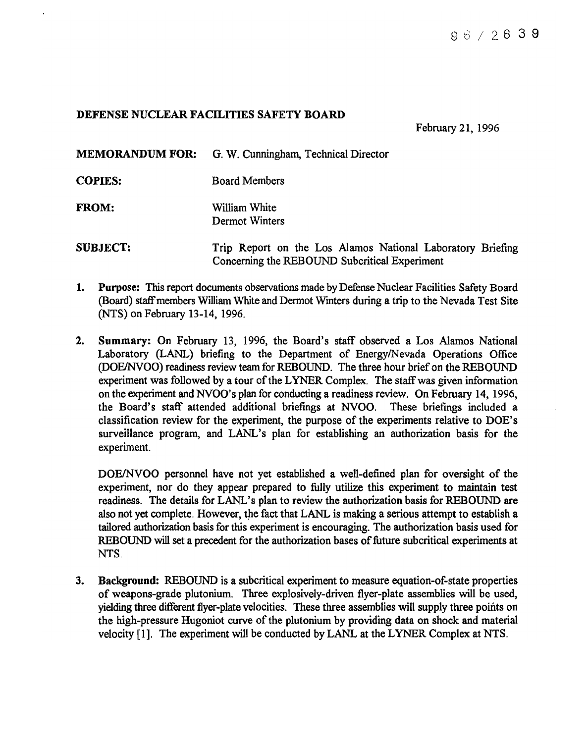# DEFENSE NUCLEAR FACILITIES SAFETY BOARD

February 21, 1996

MEMORANDUM FOR: G. W. Cunningham, Technical Director

COPIES: Board Members

FROM: William White Dermot Winters

SUBJECT: Trip Report on the Los Alamos National Laboratory Briefing Concerning the REBOUND Subcritical Experiment

- 1. Purpose: This report documents observations made by Defense Nuclear Facilities Safety Board (Board) staffmembers William White and Dermot Wmters during a trip to the Nevada Test Site (NTS) on February 13-14, 1996.
- 2. Summary: On February 13, 1996, the Board's staff observed a Los Alamos National Laboratory (LANL) briefing to the Department of EnergylNevada Operations Office (DOE/NVOO) readiness review team for REBOUND. The three hour brief on the REBOUND experiment was followed by a tour of the LYNER Complex. The staff was given information on the experiment and NVOO's plan for conducting a readiness review. On February 14, 1996, the Board's staff attended additional briefings at NVOO. These briefings included a classification review for the experiment, the purpose of the experiments relative to DOE's surveillance program, and LANL's plan for establishing an authorization basis for the experiment.

DOE/NVOO personnel have not yet established a well-defined plan for oversight of the experiment, nor do they appear prepared to fully utilize this experiment to maintain test readiness. The details for LANL's plan to review the authorization basis for REBOUND are also not yet complete. However, the fact that LANL is making a serious attempt to establish a tailored authorization basis for this experiment is encouraging. The authorization basis used for REBOUND will set a precedent for the authorization bases of future subcritical experiments at NTS.

3. Background: REBOUND is a subcritical experiment to measure equation-of-state properties of weapons-grade plutonium. Three explosively-driven flyer-plate assemblies will be used, yielding three different flyer-plate velocities. These three assemblies will supply three points on the high-pressure Hugoniot curve of the plutonium by providing data on shock and material velocity [1]. The experiment will be conducted by LANL at the LYNER Complex at NTS.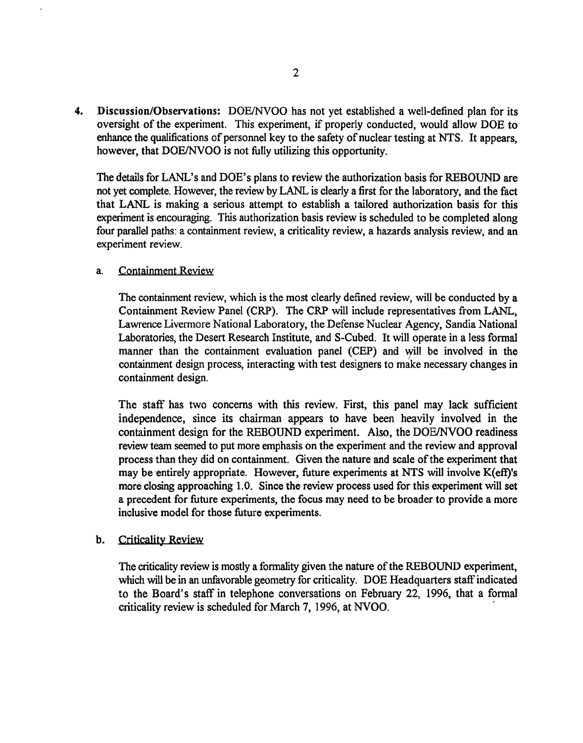4. Discussion/Observations: DOE/NVOO has not yet established a well-defined plan for its oversight of the experiment. This experiment, if properly conducted, would allow DOE to enhance the qualifications of personnel key to the safety of nuclear testing at NTS. It appears, however, that DOE/NVOO is not fully utilizing this opportunity.

The details for LANL's and DOE's plans to review the authorization basis for REBOUND are not yet complete. However, the review by LANL is clearly a first for the laboratory, and the fact that LANL is making a serious attempt to establish a tailored authorization basis for this experiment is encouraging. This authorization basis review is scheduled to be completed along four parallel paths: a containment review, a criticality review, a hazards analysis review, and an experiment review.

### a. Containment Review

The containment review, which is the most clearly defined review, will be conducted by a Containment Review Panel (CRP). The CRP will include representatives from LANL, Lawrence Livermore National Laboratory, the Defense Nuclear Agency, Sandia National Laboratories, the Desert Research Institute, and S-Cubed. It will operate in a less formal manner than the containment evaluation panel (CEP) and will be involved in the containment design process, interacting with test designers to make necessary changes in containment design.

The staff has two concerns with this review. First, this panel may lack sufficient independence, since its chairman appears to have been heavily involved in the containment design for the REBOUND experiment. Also, the DOE/NVOO readiness review team seemed to put more emphasis on the experiment and the review and approval process than they did on containment. Given the nature and scale of the experiment that may be entirely appropriate. However, future experiments at NTS will involve K(eff)'s more closing approaching 1.0. Since the review process used for this experiment will set a precedent for future experiments, the focus may need to be broader to provide a more inclusive model for those future experiments.

# b. Criticality Review

The criticality review is mostly a formality given the nature of the REBOUND experiment, which will be in an unfavorable geometry for criticality. DOE Headquarters staffindicated to the Board's staff in telephone conversations on February 22, 1996, that a formal criticality review is scheduled for March 7, 1996, at NVOO. '